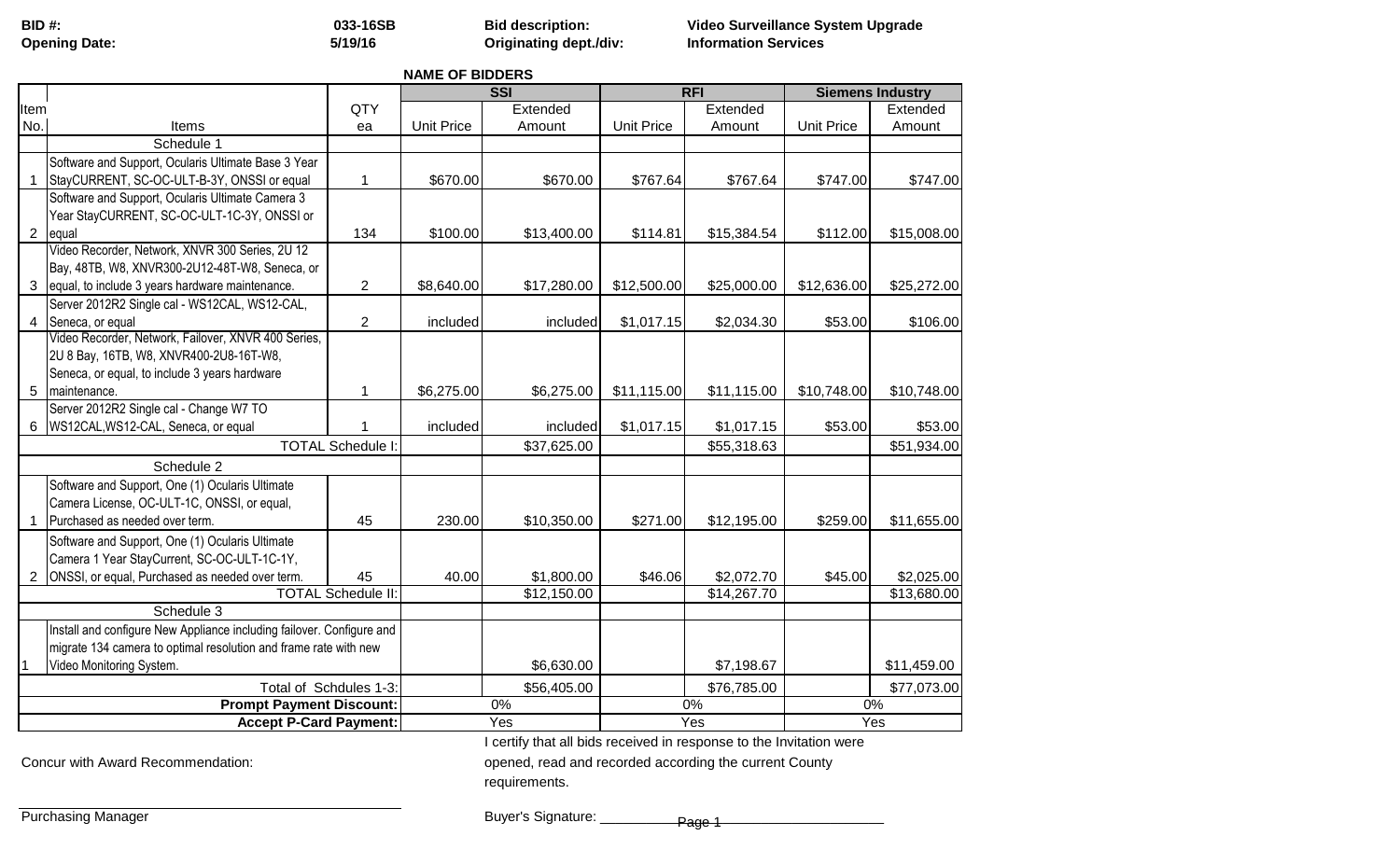| <b>BID#:</b>        |  |
|---------------------|--|
| $O$ nanina $\Gamma$ |  |

**5/19/16**

**BID #: 033-16SB Bid description: Video Surveillance System Upgrade Opening Date: Originating dept./div: Information Services**

**NAME OF BIDDERS**

|                                                                  |                                                                       |                           | <b>SSI</b>        |             | <b>RFI</b>        |             | <b>Siemens Industry</b> |             |
|------------------------------------------------------------------|-----------------------------------------------------------------------|---------------------------|-------------------|-------------|-------------------|-------------|-------------------------|-------------|
| Item                                                             |                                                                       | QTY                       |                   | Extended    |                   | Extended    |                         | Extended    |
| No.                                                              | Items                                                                 | ea                        | <b>Unit Price</b> | Amount      | <b>Unit Price</b> | Amount      | <b>Unit Price</b>       | Amount      |
|                                                                  | Schedule 1                                                            |                           |                   |             |                   |             |                         |             |
|                                                                  | Software and Support, Ocularis Ultimate Base 3 Year                   |                           |                   |             |                   |             |                         |             |
|                                                                  | StayCURRENT, SC-OC-ULT-B-3Y, ONSSI or equal                           | 1                         | \$670.00          | \$670.00    | \$767.64          | \$767.64    | \$747.00                | \$747.00    |
|                                                                  | Software and Support, Ocularis Ultimate Camera 3                      |                           |                   |             |                   |             |                         |             |
|                                                                  | Year StayCURRENT, SC-OC-ULT-1C-3Y, ONSSI or                           |                           |                   |             |                   |             |                         |             |
| $\overline{2}$                                                   | equal                                                                 | 134                       | \$100.00          | \$13,400.00 | \$114.81          | \$15,384.54 | \$112.00                | \$15,008.00 |
|                                                                  | Video Recorder, Network, XNVR 300 Series, 2U 12                       |                           |                   |             |                   |             |                         |             |
|                                                                  | Bay, 48TB, W8, XNVR300-2U12-48T-W8, Seneca, or                        |                           |                   |             |                   |             |                         |             |
| 3                                                                | equal, to include 3 years hardware maintenance.                       | $\overline{2}$            | \$8,640.00        | \$17,280.00 | \$12,500.00       | \$25,000.00 | \$12,636.00             | \$25,272.00 |
|                                                                  | Server 2012R2 Single cal - WS12CAL, WS12-CAL,                         |                           |                   |             |                   |             |                         |             |
| 4                                                                | Seneca, or equal                                                      | $\overline{2}$            | included          | included    | \$1,017.15        | \$2,034.30  | \$53.00                 | \$106.00    |
|                                                                  | Video Recorder, Network, Failover, XNVR 400 Series,                   |                           |                   |             |                   |             |                         |             |
|                                                                  | 2U 8 Bay, 16TB, W8, XNVR400-2U8-16T-W8,                               |                           |                   |             |                   |             |                         |             |
|                                                                  | Seneca, or equal, to include 3 years hardware                         |                           |                   |             |                   |             |                         |             |
| 5                                                                | maintenance.                                                          | 1                         | \$6,275.00        | \$6,275.00  | \$11,115.00       | \$11,115.00 | \$10,748.00             | \$10,748.00 |
|                                                                  | Server 2012R2 Single cal - Change W7 TO                               |                           |                   |             |                   |             |                         |             |
| 6                                                                | WS12CAL, WS12-CAL, Seneca, or equal                                   |                           | included          | included    | \$1,017.15        | \$1,017.15  | \$53.00                 | \$53.00     |
|                                                                  |                                                                       | <b>TOTAL Schedule I</b>   |                   | \$37,625.00 |                   | \$55,318.63 |                         | \$51,934.00 |
|                                                                  | Schedule 2                                                            |                           |                   |             |                   |             |                         |             |
|                                                                  | Software and Support, One (1) Ocularis Ultimate                       |                           |                   |             |                   |             |                         |             |
|                                                                  | Camera License, OC-ULT-1C, ONSSI, or equal,                           |                           |                   |             |                   |             |                         |             |
|                                                                  | Purchased as needed over term.                                        | 45                        | 230.00            | \$10,350.00 | \$271.00          | \$12,195.00 | \$259.00                | \$11,655.00 |
|                                                                  | Software and Support, One (1) Ocularis Ultimate                       |                           |                   |             |                   |             |                         |             |
|                                                                  | Camera 1 Year StayCurrent, SC-OC-ULT-1C-1Y,                           |                           |                   |             |                   |             |                         |             |
| 2                                                                | ONSSI, or equal, Purchased as needed over term.                       | 45                        | 40.00             | \$1,800.00  | \$46.06           | \$2,072.70  | \$45.00                 | \$2,025.00  |
|                                                                  |                                                                       | <b>TOTAL Schedule II:</b> |                   | \$12,150.00 |                   | \$14,267.70 |                         | \$13,680.00 |
|                                                                  | Schedule 3                                                            |                           |                   |             |                   |             |                         |             |
|                                                                  | Install and configure New Appliance including failover. Configure and |                           |                   |             |                   |             |                         |             |
|                                                                  | migrate 134 camera to optimal resolution and frame rate with new      |                           |                   |             |                   |             |                         |             |
|                                                                  | Video Monitoring System.                                              |                           |                   | \$6,630.00  |                   | \$7,198.67  |                         | \$11,459.00 |
|                                                                  |                                                                       | Total of Schdules 1-3:    |                   | \$56,405.00 |                   | \$76,785.00 |                         | \$77,073.00 |
|                                                                  |                                                                       |                           |                   | 0%          |                   | 0%          |                         | 0%          |
| <b>Prompt Payment Discount:</b><br><b>Accept P-Card Payment:</b> |                                                                       |                           | Yes               |             | Yes               |             | Yes                     |             |
|                                                                  |                                                                       |                           |                   |             |                   |             |                         |             |

I certify that all bids received in response to the Invitation were

Concur with Award Recommendation: **opened, read and recorded according the current County** 

requirements.

Purchasing Manager

Buyer's Signature: \_\_\_\_\_\_\_\_\_\_\_\_\_\_\_\_\_\_\_\_\_\_\_\_\_\_\_\_\_\_\_\_\_\_\_\_\_ Page 1